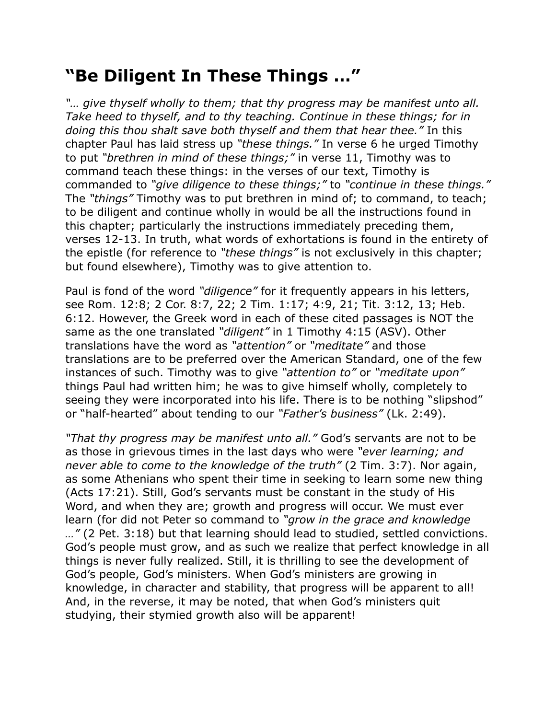## **"Be Diligent In These Things …"**

*"… give thyself wholly to them; that thy progress may be manifest unto all. Take heed to thyself, and to thy teaching. Continue in these things; for in doing this thou shalt save both thyself and them that hear thee."* In this chapter Paul has laid stress up *"these things."* In verse 6 he urged Timothy to put *"brethren in mind of these things;"* in verse 11, Timothy was to command teach these things: in the verses of our text, Timothy is commanded to *"give diligence to these things;"* to *"continue in these things."* The *"things"* Timothy was to put brethren in mind of; to command, to teach; to be diligent and continue wholly in would be all the instructions found in this chapter; particularly the instructions immediately preceding them, verses 12-13. In truth, what words of exhortations is found in the entirety of the epistle (for reference to *"these things"* is not exclusively in this chapter; but found elsewhere), Timothy was to give attention to.

Paul is fond of the word *"diligence"* for it frequently appears in his letters, see Rom. 12:8; 2 Cor. 8:7, 22; 2 Tim. 1:17; 4:9, 21; Tit. 3:12, 13; Heb. 6:12. However, the Greek word in each of these cited passages is NOT the same as the one translated *"diligent"* in 1 Timothy 4:15 (ASV). Other translations have the word as *"attention"* or *"meditate"* and those translations are to be preferred over the American Standard, one of the few instances of such. Timothy was to give *"attention to"* or *"meditate upon"* things Paul had written him; he was to give himself wholly, completely to seeing they were incorporated into his life. There is to be nothing "slipshod" or "half-hearted" about tending to our *"Father's business"* (Lk. 2:49).

*"That thy progress may be manifest unto all."* God's servants are not to be as those in grievous times in the last days who were *"ever learning; and never able to come to the knowledge of the truth"* (2 Tim. 3:7). Nor again, as some Athenians who spent their time in seeking to learn some new thing (Acts 17:21). Still, God's servants must be constant in the study of His Word, and when they are; growth and progress will occur. We must ever learn (for did not Peter so command to *"grow in the grace and knowledge …"* (2 Pet. 3:18) but that learning should lead to studied, settled convictions. God's people must grow, and as such we realize that perfect knowledge in all things is never fully realized. Still, it is thrilling to see the development of God's people, God's ministers. When God's ministers are growing in knowledge, in character and stability, that progress will be apparent to all! And, in the reverse, it may be noted, that when God's ministers quit studying, their stymied growth also will be apparent!